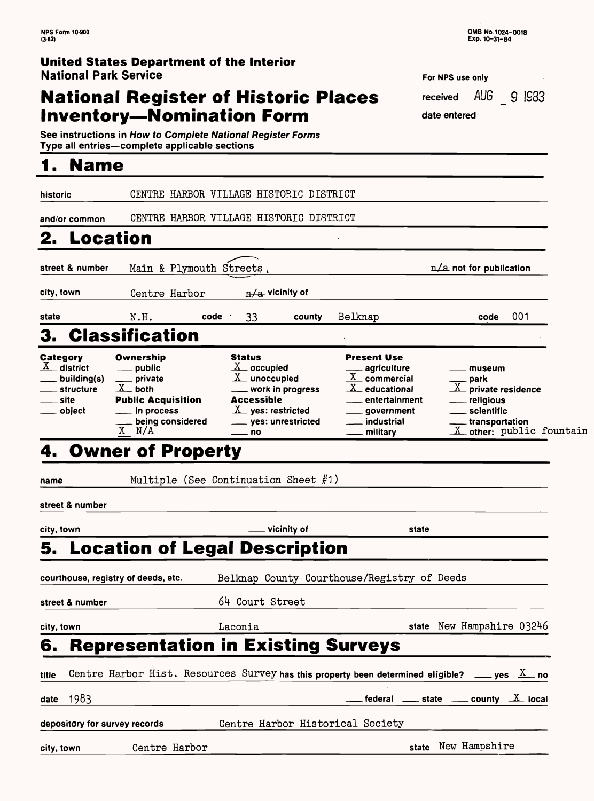#### **United States Department of the Interior National Park Service For NPS** use only

# **National Register of Historic Places Inventory—Nomination Form** date entered

See instructions in How to Complete National Register Forms<br>Type all entries—complete applicable sections

0MB No. 1024-0018 Exp. 10-31-84

| <b>POT NPS USE ONLY</b> |  |  |
|-------------------------|--|--|
| received AUG 9 IS83     |  |  |
| data antarad            |  |  |

### **1. Name**

|                                                                                           |                                                                                                                                             | <b>5. Location of Legal Description</b>                                                                                                                            |                                                                                                                                                         |                                                                                                                                |  |
|-------------------------------------------------------------------------------------------|---------------------------------------------------------------------------------------------------------------------------------------------|--------------------------------------------------------------------------------------------------------------------------------------------------------------------|---------------------------------------------------------------------------------------------------------------------------------------------------------|--------------------------------------------------------------------------------------------------------------------------------|--|
| city, town                                                                                |                                                                                                                                             | vicinity of                                                                                                                                                        | state                                                                                                                                                   |                                                                                                                                |  |
| street & number                                                                           |                                                                                                                                             |                                                                                                                                                                    |                                                                                                                                                         |                                                                                                                                |  |
| name                                                                                      |                                                                                                                                             | Multiple (See Continuation Sheet $#1)$ )                                                                                                                           |                                                                                                                                                         |                                                                                                                                |  |
|                                                                                           | 4. Owner of Property                                                                                                                        |                                                                                                                                                                    |                                                                                                                                                         |                                                                                                                                |  |
| <b>Category</b><br>$\underline{X}$ district<br>building(s)<br>structure<br>site<br>object | 3. Classification<br>Ownership<br>public<br>private<br>$X$ both<br><b>Public Acquisition</b><br>in process<br>being considered<br>$X$ $N/A$ | <b>Status</b><br>$\underline{X}$ occupied<br>$X$ unoccupied<br>___ work in progress<br><b>Accessible</b><br>$X$ yes: restricted<br>___ yes: unrestricted<br>$=$ no | <b>Present Use</b><br>agriculture<br>$\underline{X}$ commercial<br>$\underline{X}$ educational<br>entertainment<br>government<br>industrial<br>military | museum<br>park<br>$\underline{X}$ private residence<br>religious<br>scientific<br>transportation<br>$X$ other: public fountain |  |
| state                                                                                     | N.H.<br>code                                                                                                                                | 33<br>county                                                                                                                                                       | Belknap                                                                                                                                                 | 001<br>code                                                                                                                    |  |
| city, town                                                                                | Centre Harbor                                                                                                                               | $n/a$ vicinity of                                                                                                                                                  |                                                                                                                                                         |                                                                                                                                |  |
| street & number                                                                           | Main & Plymouth                                                                                                                             | Streets.                                                                                                                                                           |                                                                                                                                                         | $n/a$ not for publication                                                                                                      |  |
| 2.<br><b>Location</b>                                                                     |                                                                                                                                             |                                                                                                                                                                    |                                                                                                                                                         |                                                                                                                                |  |
| and/or common                                                                             |                                                                                                                                             | CENTRE HARBOR VILLAGE HISTORIC DISTRICT                                                                                                                            |                                                                                                                                                         |                                                                                                                                |  |
| historic                                                                                  | CENTRE HARBOR VILLAGE                                                                                                                       | HISTORIC DISTRICT                                                                                                                                                  |                                                                                                                                                         |                                                                                                                                |  |

|            | Belknap County Courthouse/Registry of Deeds<br>courthouse, registry of deeds, etc. |                                  |                                                                                                            |  |
|------------|------------------------------------------------------------------------------------|----------------------------------|------------------------------------------------------------------------------------------------------------|--|
|            | street & number                                                                    | 64 Court Street                  |                                                                                                            |  |
| city, town |                                                                                    | Laconia                          | state New Hampshire 03246                                                                                  |  |
| 6.         | <b>Representation in Existing Surveys</b>                                          |                                  |                                                                                                            |  |
| title      |                                                                                    |                                  | Centre Harbor Hist. Resources Survey has this property been determined eligible? __ yes $\underline{X}$ no |  |
|            | date $1983$                                                                        |                                  | federal <u>each</u> state <u>and county <math>\underline{X}</math></u> local                               |  |
|            | depository for survey records                                                      | Centre Harbor Historical Society |                                                                                                            |  |
| city, town | Centre Harbor                                                                      |                                  | New Hampshire<br>state                                                                                     |  |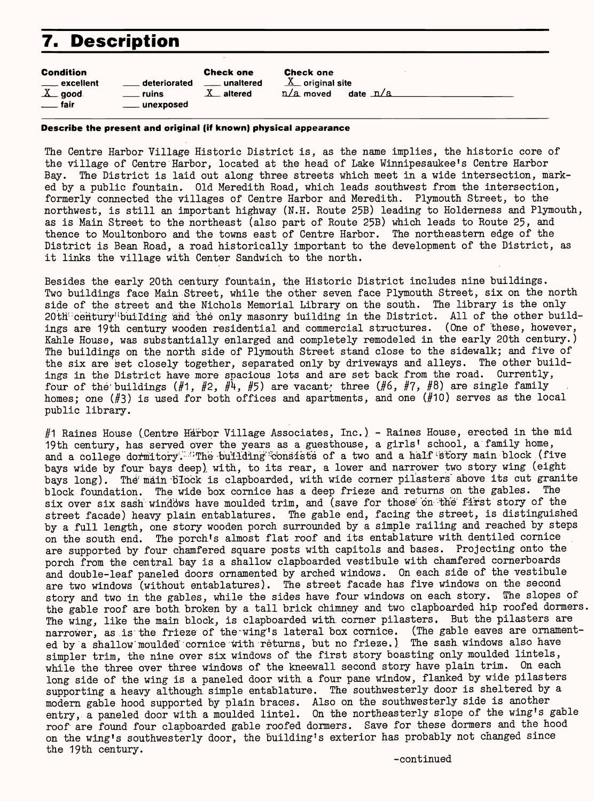# **7. Description**

| <b>Condition</b>                             |                                                | <b>Check one</b>          | <b>Check one</b>                                                |
|----------------------------------------------|------------------------------------------------|---------------------------|-----------------------------------------------------------------|
| ____ excellent<br>$X$ good<br><u>__</u> fair | deteriorated<br><b>ruins</b><br>____ unexposed | ____ unaltered<br>altered | $\underline{X}$ original site<br>date $\Delta a$<br>$n/a$ moved |

#### **Describe the present and original (if known) physical appearance**

The Centre Harbor Village Historic District is, as the name implies, the historic core of the village of Centre Harbor, located at the head of Lake Winnipesaukee's Centre Harbor Bay. The District is laid out along three streets which meet in a wide intersection, marked by a public fountain. Old Meredith Road, which leads southwest from the intersection, formerly connected the villages of Centre Harbor and Meredith. Plymouth Street, to the northwest, is still an important highway (N.H. Route 25B) leading to Holderness and Plymouth, as is Main Street to the northeast (also part of Route 25B) which leads to Route 25, and thence to Moultonboro and the towns east of Centre Harbor. The northeastern edge of the District is Bean Road, a road historically important to the development of the District, as it links the village with Center Sandwich to the north.

Besides the early 20th century fountain, the Historic District includes nine buildings. Two buildings face Main Street, while the other seven face Plymouth Street, six on the north side of the street and the Nichols Memorial Library on the south. The library is the only 20th: century'tbuilding and the only masonry building in the District. All of the other buildings are 19th century wooden residential and commercial structures. (One of these, however, Kahle House, was substantially enlarged and completely remodeled in the early 20th century.) The buildings on the north side of Plymouth Street stand close to the sidewalk; and five of the six are set closely together, separated only by driveways and alleys. The other buildings in the District have more spacious lots and are set back from the road. Currently, four of the buildings (#1, #2, #4, #5) are vacant; three (#6, #7, #8) are single family homes; one (#3) is used for both offices and apartments, and one (#10) serves as the local public library.

#1 Raines House (Centre Harbor Village Associates, Inc.) - Raines House, erected in the mid 19th century, has served over the years as a guesthouse, a girls' school, a family home, and a college dormitory. *The building consists* of a two and a half story main block (five bays wide by four bays deep) with, to its rear, a lower and narrower two story wing (eight bays long). The main block is clapboarded, with wide corner pilasters above its cut granite block foundation. The wide box cornice has a deep frieze and returns on the gables. The six over six sash windows have moulded trim, and (save for those on the first story of the street facade) heavy plain entablatures. The gable end, facing the street, is distinguished by a full length, one story wooden porch surrounded by a simple railing and reached by steps on the south end. The porch's almost flat roof and its entablature with, dentiled cornice are supported by four chamfered square posts with capitols and bases. Projecting onto the porch from the central bay is a shallow clapboarded vestibule with chamfered cornerboards and double-leaf paneled doors ornamented by arched windows. On each, side of the vestibule are two windows (without entablatures). The street facade has five windows on the second story and two in the gables, while the sides have four windows on each story. {The slopes of the gable roof are both broken by a tall brick chimney and two clapboarded hip roofed dormers. The wing, like the main block, is clapboarded with corner pilasters. But the pilasters are narrower, as is the frieze of the~wing's lateral box cornice. (The gable eaves are ornamented by a shallow moulded cornice with returns, but no frieze.) The sash windows also have simpler trim, the nine over six windows of the first story boasting only moulded lintels, while the three over three windows of the kneewall second story have plain trim. On each long side of the wing is a paneled door with a four pane window, flanked by wide pilasters supporting a heavy although simple entablature. The southwesterly door is sheltered by a modern gable hood supported by plain braces. Also on the southwesterly side is another entry, a paneled door with a moulded lintel. On the northeasterly slope of the wing's gable roof are found four clapboarded gable roofed dormers. Save for these dormers and the hood on the wing's southwesterly door, the building's exterior has probably not changed since the 19th century. -continued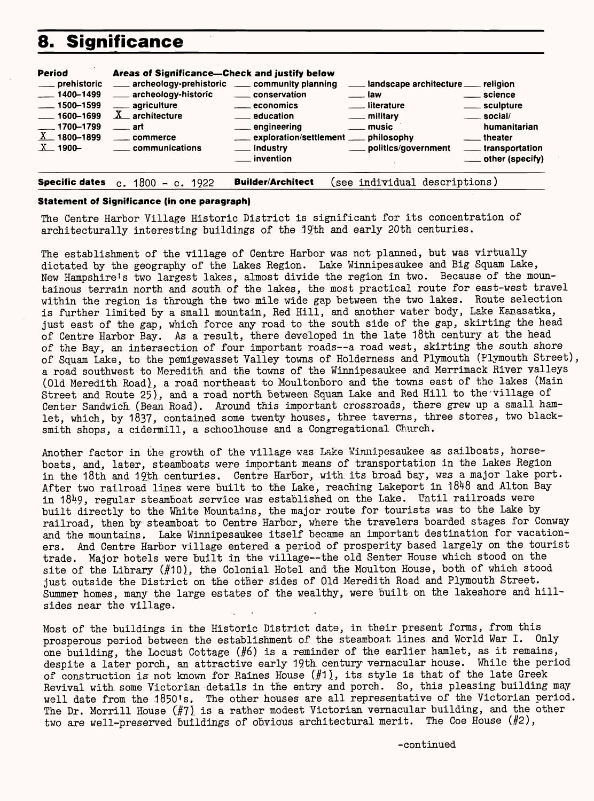### **8. Significance**

| Period<br>___ prehistoric<br>$-1400 - 1499$<br>$-1500 - 1599$<br>1600-1699<br>$-1700 - 1799$<br>$X = 1800 - 1899$<br>$X = 1900 -$ | Areas of Significance-Check and justify below<br>___ archeology-historic<br>____ agriculture<br>$\underline{X}$ architecture<br>$\rule{1em}{0.15mm}$ art<br>____ commerce<br>_____ communications | archeology-prehistoric _____ community planning<br>___ landscape architecture ___ religion<br>____ conservation<br>___ science<br><u>___</u> law<br>__ literature<br>____ sculpture<br>____ economics<br>__ education<br>____ social/<br>__ military<br><u>_</u> _ music<br>____ engineering<br>humanitarian<br>___ exploration/settlement ___ philosophy<br><u>_</u> __ theater<br>____ politics/government<br>___ industry<br><u>_</u> ___ transportation<br>__ invention<br>___ other (specify) |  |
|-----------------------------------------------------------------------------------------------------------------------------------|---------------------------------------------------------------------------------------------------------------------------------------------------------------------------------------------------|----------------------------------------------------------------------------------------------------------------------------------------------------------------------------------------------------------------------------------------------------------------------------------------------------------------------------------------------------------------------------------------------------------------------------------------------------------------------------------------------------|--|
| <b>Specific dates</b>                                                                                                             | c. $1800 - c. 1922$                                                                                                                                                                               | <b>Builder/Architect</b><br>(see individual descriptions)                                                                                                                                                                                                                                                                                                                                                                                                                                          |  |

The Centre Harbor Village Historic District is significant for its concentration of architecturally interesting buildings of the 19th and early 20th centuries.

#### **Statement of Significance (in one paragraph)**

The establishment of the village of Centre Harbor was not planned, but was virtually dictated by the geography of the Lakes Region. Lake Winnipesaukee and Big Squam Lake, New Hampshire's two largest lakes, almost divide the region in two. Because of the mountainous terrain north and south, of the lakes, the most practical route for east-west travel within the region is through the two mile wide gap between the two lakes. Route selection is further limited by a small mountain, Red Hill, and another water body, Lake Kanasatka, just east of the gap, which force any road to the south side of the gap, skirting the head of Centre Harbor Bay. As a result, there developed in the late 18th century at the head of the Bay, an intersection of four important roads--a road west, skirting the south shore of Squam Lake, to the pemigewasset Valley towns of Holderness and Plymouth (Plymouth Street), a road southwest to Meredith, and the towns of the Winnipesaukee and Merrimack River valleys (Old Meredith Road), a road northeast to Moultonboro and the towns east of the lakes (Main Street and Route 25)., and a road north between Squam Lake and Red Hill to the-village of Center Sandwich. (Bean Road). Around this important crossroads, there grew up a small hamlet, which, by 1837, contained some twenty houses, three taverns, three stores, two blacksmith shops, a cidermill, a schoolhouse and a Congregational Church,

Another factor in the growth of the village was Lake Winnipesaukee as sailboats, horseboats, and, later, steamboats were important means of transportation in the Lakes Region in the 18th and 19th centuries. Centre Harbor, with its broad bay, was a major lake port. After two railroad lines were built to the Lake, reaching Lakeport in 1848 and Alton Bay in 1849, regular steamboat service was established on the Lake. Until railroads were built directly to the White Mountains, the major route for tourists was to the Lake by railroad, then by steamboat to Centre Harbor, where the travelers boarded stages for Conway and the mountains. Lake Winnipesaukee itself became an important destination for vacationers. And Centre Harbor village entered a period of prosperity based largely on the tourist trade. Major hotels were built in the village--the old Senter House which stood on the site of the Library (#10), the Colonial Hotel and the Moulton House, both of which stood just outside the District on the other sides of Old Meredith Road and Plymouth Street. Summer homes, many the large estates of the wealthy, were built on the lakeshore and hillsides near the village.

Most of the buildings in the Historic District date, in their present forms, from this prosperous period between the establishment of the steamboat lines and World War I. Only one building, the Locust Cottage  $(H6)$  is a reminder of the earlier hamlet, as it remains, despite a later porch, an attractive early 19th century vernacular house. While the period of construction is not known for Raines House  $(H1)$ , its style is that of the late Greek Revival with some Victorian details in the entry and porch. So, this pleasing building may well date from the 1850's. The other houses are all representative of the Victorian period. The Dr. Morrill House (#7) is a rather modest Victorian vernacular building, and the other two are well-preserved buildings of obvious architectural merit. The Coe House (#2),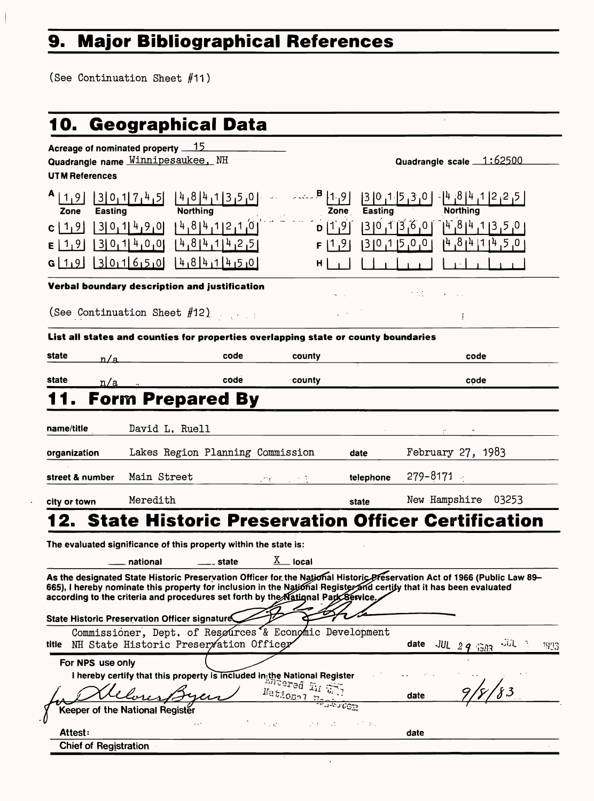# **9. Major Bibliographical References**

(See Continuation Sheet #11)

# **10. Geographical Data**

| Acreage of nominated property 15<br>Quadrangle name Winnipesaukee, NH<br><b>UTM References</b> |                              |                                                                                                                     |                                                                                                                           |                                               | Quadrangle scale 1:62500                                                                                                                  |
|------------------------------------------------------------------------------------------------|------------------------------|---------------------------------------------------------------------------------------------------------------------|---------------------------------------------------------------------------------------------------------------------------|-----------------------------------------------|-------------------------------------------------------------------------------------------------------------------------------------------|
| $A$   1,9 <br>Zone<br><b>Easting</b><br>$c$   1, 9<br>E[1,9]<br>G[19] [3011650]                | 3 0,1 4,9 0 <br> 3 0,1 4,0,0 | <b>Northing</b><br>Protuning<br>$[4,8]4$ , 1 2, 1, 0 <br>$14,814,114$ <sub>1</sub> 2 <sub>1</sub> 51<br>14181411450 | F.<br>H                                                                                                                   | Zone<br>Easting<br>$ 0,0,0 $ 1   0,0<br>91, 1 | $3011745$ $41841747$ $841$<br><b>Northing</b><br>$ 3 0,7 5,6 0 $ $ 4 8,4 7 8,6 7,0 8 $<br>$[4, 8]$ <sup>4</sup> $[1]$ <sup>4</sup> , 5, 0 |
| Verbal boundary description and justification                                                  |                              |                                                                                                                     |                                                                                                                           |                                               |                                                                                                                                           |
| (See Continuation Sheet #12)                                                                   |                              |                                                                                                                     |                                                                                                                           |                                               |                                                                                                                                           |
| List all states and counties for properties overlapping state or county boundaries             |                              |                                                                                                                     |                                                                                                                           |                                               |                                                                                                                                           |
| state<br>n/a                                                                                   |                              | code                                                                                                                | county                                                                                                                    |                                               | code                                                                                                                                      |
| state<br>n/a                                                                                   |                              | code                                                                                                                | county                                                                                                                    |                                               | code                                                                                                                                      |
| 11. Form Prepared By                                                                           |                              |                                                                                                                     |                                                                                                                           |                                               |                                                                                                                                           |
| name/title                                                                                     | David L. Ruell               |                                                                                                                     |                                                                                                                           |                                               |                                                                                                                                           |
| organization                                                                                   |                              | Lakes Region Planning Commission                                                                                    |                                                                                                                           | date                                          | February 27, $1983$                                                                                                                       |
| street & number                                                                                | Main Street                  |                                                                                                                     | $\mathcal{F} \subset \mathbb{Z}$<br>$\mathcal{L}^{\text{max}}(\mathcal{L}^{\text{max}})$ . The $\mathcal{L}^{\text{max}}$ | telephone                                     | $279 - 8171$                                                                                                                              |
| city or town                                                                                   | Meredith                     |                                                                                                                     |                                                                                                                           | state                                         | New Hampshire<br>03253                                                                                                                    |

 $\bar{r}$ 

| State Historic Preservation Officer signature   | 665), I hereby nominate this property for inclusion in the National Register and certify that it has been evaluated<br>according to the criteria and procedures set forth by the National Park Service.                                  |      |                                  |
|-------------------------------------------------|------------------------------------------------------------------------------------------------------------------------------------------------------------------------------------------------------------------------------------------|------|----------------------------------|
| NH State Historic Preservation Officer<br>title | Commissioner, Dept. of Resøurces & Economic Development                                                                                                                                                                                  | date | بازاره<br>$JUL$ 2 9 1303<br>1993 |
| For NPS use only                                | <b>NPS use only</b><br>I hereby certify that this property is included in the National Register<br>And the setting of the setting of the setting of the setting of the setting of the setting of the setting of the setting of the setti | date |                                  |
| Keeper of the National Register<br>$2.3\%$      | National mentioner<br>$\mathcal{F}^{\mathcal{A}}$ , $\mathcal{F}^{\mathcal{B}}$                                                                                                                                                          |      |                                  |
| <b>Attest:</b><br><b>Chief of Registration</b>  |                                                                                                                                                                                                                                          | date |                                  |

 $\langle \cdot \rangle$ 

# **12. State Historic Preservation Officer Certification**

The evaluated significance of this property within the state is:

 $\_$ national  $\_$ state  $\overline{\text{X}}$  local

As the designated State Historic Preservation Officer for the National Historic Preservation Act of 1966 (Public Law 89-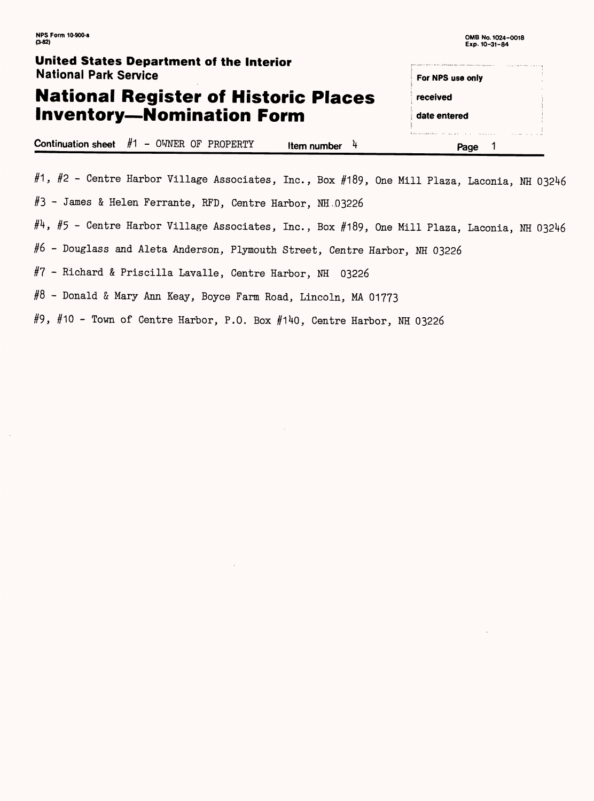#### **United States Department of the Interior** National Park Service For NPS use only **National Register of Historic Places**  received **Inventory—Nomination Form** date entered **Continuation sheet**  $#1 - \text{OWNER OF PROPERTY}$  **Item number**  $4$  **Page 1**

#1, #2 - Centre Harbor Village Associates, Inc., Box #189, One Mill Plaza, Laconia, NH 03246

#3 - James & Helen Ferrante, RFD, Centre Harbor, NH,03226

 $#4$ ,  $#5$  - Centre Harbor Village Associates, Inc., Box  $#189$ , One Mill Plaza, Laconia, NH 03246

#6 - Douglass and Aleta Anderson, Plymouth Street, Centre Harbor, NH 03226

#7 - Richard & Priscilla Lavalle, Centre Harbor, NH 03226

#8 - Donald & Mary Ann Keay, Boyce Farm Road, Lincoln, MA 01773

#9, #10 - Town of Centre Harbor, P.O. Box #140, Centre Harbor, NH 03226

 $\mathcal{L}(\mathcal{L}(\mathcal{L}))$  and  $\mathcal{L}(\mathcal{L}(\mathcal{L}))$  . The contribution of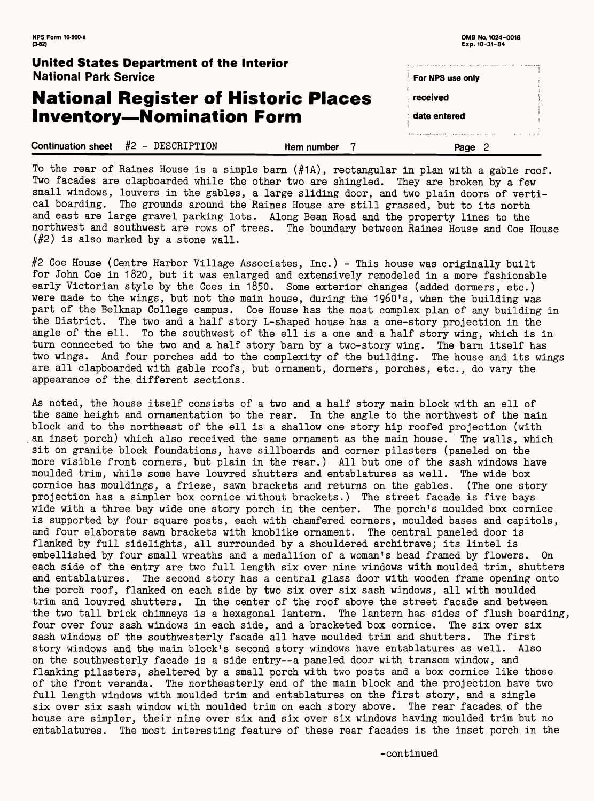| NPS Form 10-900-a<br>$(3-82)$                                            | OMB No. 1024-0018<br>Exp. 10-31-84 |
|--------------------------------------------------------------------------|------------------------------------|
| United States Department of the Interior<br><b>National Park Service</b> | For NPS use only                   |
| <b>National Register of Historic Places</b>                              | received                           |
| <b>Inventory-Nomination Form</b>                                         | date entered                       |
| $#2$ - DESCRIPTION<br><b>Continuation sheet</b><br>Item number           | Page                               |

To the rear of Raines House is a simple barn (#1A), rectangular in plan with a gable roof. Two facades are clapboarded while the other two are shingled. They are broken by a few small windows, louvers in the gables, a large sliding door, and two plain doors of vertical boarding. The grounds around the Raines House are still grassed, but to its north and east are large gravel parking lots. Along Bean Road and the property lines to the northwest and southwest are rows of trees. The boundary between Raines House and Coe House (#2) is also marked by a stone wall.

#2 Coe House (Centre Harbor Village Associates, Inc.) - This house was originally built for John Coe in 1820, but it was enlarged and extensively remodeled in a more fashionable early Victorian style by the Goes in 1850. Some exterior changes (added dormers, etc.) were made to the wings, but not the main house, during the 1960's, when the building was part of the Belknap College campus. Coe House has the most complex plan of any building in the District. The two and a half story L-shaped house has a one-story projection in the angle of the ell. To the southwest of the ell is a one and a half story wing, which is in turn connected to the two and a half story barn by a two-story wing. The barn itself has two wings. And four porches add to the complexity of the building. The house and its wings are all clapboarded with gable roofs, but ornament, dormers, porches, etc., do vary the appearance of the different sections.

As noted, the house itself consists of a two and a half story main block with an ell of the same height and ornamentation to the rear. In the angle to the northwest of the main block and to the northeast of the ell is a shallow one story hip roofed projection (with an inset porch) which also received the same ornament as the main house. The walls, which sit on granite block foundations, have sillboards and corner pilasters (paneled on the more visible front corners, but plain in the rear.) All but one of the sash windows have moulded trim, while some have louvred shutters and entablatures as well. The wide box cornice has mouldings, a frieze, sawn brackets and returns on the gables. (The one story projection has a simpler box cornice without brackets.) The street facade is five bays wide with a three bay wide one story porch in the center. The porch's moulded box cornice is supported by four square posts, each with chamfered corners, moulded bases and capitols, and four elaborate sawn brackets with knoblike ornament. The central paneled door is flanked by full sidelights, all surrounded by a shouldered architrave; its lintel is embellished by four small wreaths and a medallion of a woman's head framed by flowers. On each side of the entry are two full length six over nine windows with moulded trim, shutters and entablatures. The second story has a central glass door with wooden frame opening onto the porch roof, flanked on each side by two six over six sash windows, all with moulded trim and louvred shutters. In the center of the roof above the street facade and between the two tall brick chimneys is a hexagonal lantern. The lantern has sides of flush boarding, four over four sash windows in each side, and a bracketed box cornice. The six over six sash windows of the southwesterly facade all have moulded trim and shutters. The first story windows and the main block's second story windows have entablatures as well. Also on the southwesterly facade is a side entry--a paneled door with transom window, and flanking pilasters, sheltered by a small porch with two posts and a box cornice like those of the front veranda. The northeasterly end of the main block and the projection have two full length windows with moulded trim and entablatures on the first story, and a single six over six sash window with moulded trim on each story above. The rear facades, of the house are simpler, their nine over six and six over six windows having moulded trim but no entablatures. The most interesting feature of these rear facades is the inset porch in the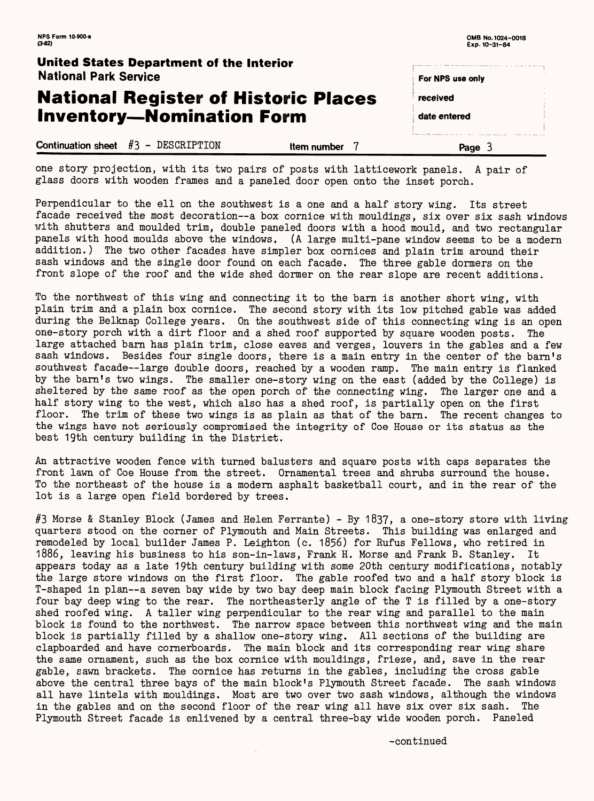| <b>NPS Form 10-900-a</b><br>$(3-82)$                                     |             | OMB No. 1024-0018<br>Exp. 10-31-84 |  |
|--------------------------------------------------------------------------|-------------|------------------------------------|--|
| United States Department of the Interior<br><b>National Park Service</b> |             | For NPS use only                   |  |
| <b>National Register of Historic Places</b>                              |             | received                           |  |
| <b>Inventory-Nomination Form</b>                                         |             | date entered                       |  |
| <b>Continuation sheet</b> $#3$ - DESCRIPTION                             | Item number | Page                               |  |

one story projection, with its two pairs of posts with latticework panels. A pair of glass doors with wooden frames and a paneled door open onto the inset porch.

Perpendicular to the ell on the southwest is a one and a half story wing. Its street facade received the most decoration--a box cornice with mouldings, six over six sash windows with shutters and moulded trim, double paneled doors with a hood mould, and two rectangular panels with hood moulds above the windows. (A large multi-pane window seems to be a modern addition.) The two other facades.have simpler box cornices and plain trim around their sash windows and the single door found on each facade. The three gable dormers on the front slope of the roof and the wide shed dormer on the rear slope are recent additions.

To the northwest of this wing and connecting it to the barn is another short wing, with plain trim and a plain box cornice. The second story with its low pitched gable was added during the Belknap College years. On the southwest side of this connecting wing is an open one-story porch with a dirt floor and a shed roof supported by square wooden posts. The large attached barn has plain trim, close eaves and verges, louvers in the gables and a few sash windows. Besides four single doors, there is a main entry in the center of the barn's southwest facade--large double doors, reached by a wooden ramp. The main entry is flanked by the barn's two wings. The smaller one-story wing on the east (added by the College) is sheltered by the same roof as the open porch of the connecting wing. The larger one and a half story wing to the west, which also has a shed roof, is partially open on the first floor. The trim of these two wings is as plain as that of the barn. The recent changes to the wings have not seriously compromised the integrity of Coe House or its status as the best 19th century building in the District.

An attractive wooden fence with turned balusters and square posts with caps separates the front lawn of Coe House from the street. Ornamental trees and shrubs surround the house. To the northeast of the house is a modern asphalt basketball court, and in the rear of the lot is a large open field bordered by trees.

#3 Morse & Stanley Block (James and Helen Ferrante) - By 1837, a one-story store with living quarters stood on the corner of Plymouth and Main Streets. This building was enlarged and remodeled by local builder James P. Leighton (c. 1856) for Rufus Fellows, who retired in 1886, leaving his business to his son-in-laws, Frank H. Morse and Frank B. Stanley. It appears today as a late 19th century building with some 20th century modifications, notably the large store windows on the first floor. The gable roofed two and a half story block is T-shaped in plan--a seven bay wide by two bay deep main block facing Plymouth Street with a four bay deep wing to the rear. The northeasterly angle of the T is filled by a one-story shed roofed wing. A taller wing perpendicular to the rear wing and parallel to the main block is found to the northwest. The narrow space between this northwest wing and the main block is partially filled by a shallow one-story wing. All sections of the building are clapboarded and have cornerboards. The main block and its corresponding rear wing share the same ornament, such as the box cornice with mouldings, frieze, and, save in the rear gable, sawn brackets. The cornice has returns in the gables, including the cross gable above the central three bays of the main block's Plymouth Street facade. The sash windows all have lintels with mouldings. Most are two over two sash windows, although the windows in the gables and on the second floor of the rear wing all have six over six sash. The Plymouth Street facade is enlivened by a central three-bay wide wooden porch. Paneled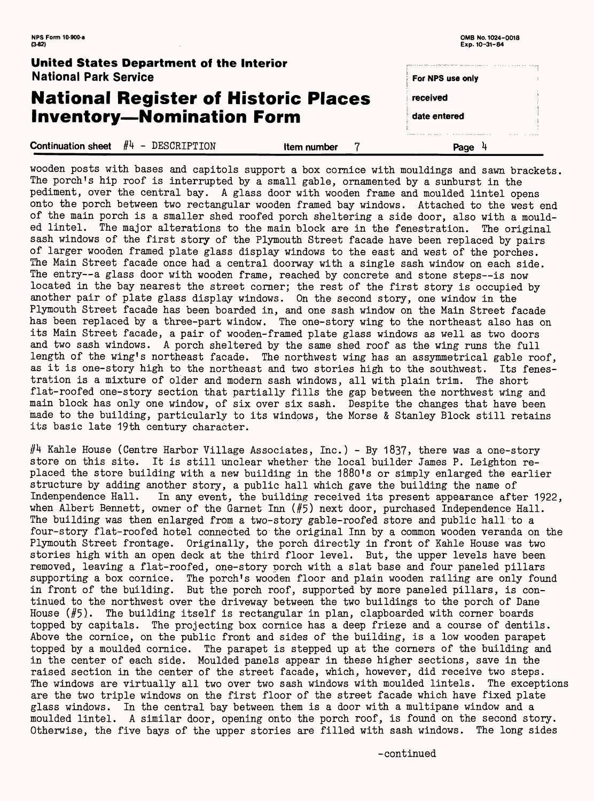**NPS Form 10-900-a OMB No. 1024-0018** 

| $(3-82)$                                                                 |             | Exp. 10-31-84    |  |
|--------------------------------------------------------------------------|-------------|------------------|--|
| United States Department of the Interior<br><b>National Park Service</b> |             | For NPS use only |  |
| <b>National Register of Historic Places</b>                              |             | received         |  |
| <b>Inventory-Nomination Form</b>                                         |             | date entered     |  |
| <b>Continuation sheet</b> $#4$ – DESCRIPTION                             | Item number | Page             |  |

wooden posts with bases and capitols support a box cornice with mouldings and sawn brackets. The porch's hip roof is interrupted by a small gable, ornamented by a sunburst in the pediment, over the central bay. A glass door with wooden frame and moulded lintel opens onto the porch between two rectangular wooden framed bay windows. Attached to the west end of the main porch is a smaller shed roofed porch sheltering a side door, also with a moulded lintel. The major alterations to the main block are in the fenestration. The original sash windows of the first story of the Plymouth Street facade have been replaced by pairs of larger wooden framed plate glass display windows to the east and west of the porches. The Main Street facade once had a central doorway with a single sash window on each side. The entry--a glass door with wooden frame, reached by concrete and stone steps--is now located in the bay nearest the street corner; the rest of the first story is occupied by another pair of plate glass display windows. On the second story, one window in the Plymouth Street facade has been boarded in, and one sash window on the Main Street facade has been replaced by a three-part window. The one-story wing to the northeast also has on its Main Street facade, a pair of wooden-framed plate glass windows as well as two doors and two sash windows. A porch sheltered by the same shed roof as the wing runs the full length of the wing's northeast facade. The northwest wing has an assymmetrical gable roof, as it is one-story high to the northeast and two stories high to the southwest. Its fenestration is a mixture of older and modern sash windows, all with plain trim. The short flat-roofed one-story section that partially fills the gap between the northwest wing and main block has only one window, of six over six sash. Despite the changes that have been made to the building, particularly to its windows, the Morse & Stanley Block still retains its basic late 19th century character.

 $#$ 4 Kahle House (Centre Harbor Village Associates, Inc.) - By 1837, there was a one-story store on this site. It is still unclear whether the local builder James P. Leighton replaced the store building with a new building in the 1880's or simply enlarged the earlier structure by adding another story, a public hall which gave the building the name of Indenpendence Hall. In any event, the building received its present appearance after 1922, when Albert Bennett, owner of the Garnet Inn (#5) next door, purchased Independence Hall. The building was then enlarged from a two-story gable-roofed store and public hall to a four-story flat-roofed hotel connected to the original Inn by a common wooden veranda on the Plymouth Street frontage. Originally, the porch directly in front of Kahle House was two stories high with an open deck at the third floor level. But, the upper levels have been removed, leaving a flat-roofed, one-story porch with a slat base and four paneled pillars supporting a box cornice. The porch's wooden floor and plain wooden railing are only found in front of the building. But the porch roof, supported by more paneled pillars, is continued to the northwest over the driveway between the two buildings to the porch of Dane House (#5). The building itself is rectangular in plan, clapboarded with corner boards topped by capitals. The projecting box cornice has a deep frieze and a course of dentils. Above the cornice, on the public front and sides of the building, is a low wooden parapet topped by a moulded cornice. The parapet is stepped up at the corners of the building and in the center of each side. Moulded panels appear in these higher sections, save in the raised section in the center of the street facade, which, however, did receive two steps. The windows are virtually all two over two sash windows with moulded lintels. The exceptions are the two triple windows on the first floor of the street facade which have fixed plate glass windows. In the central bay between them is a door with a multipane window and a moulded lintel. A similar door, opening onto the porch roof, is found on the second story. Otherwise, the five bays of the upper stories are filled with sash windows. The long sides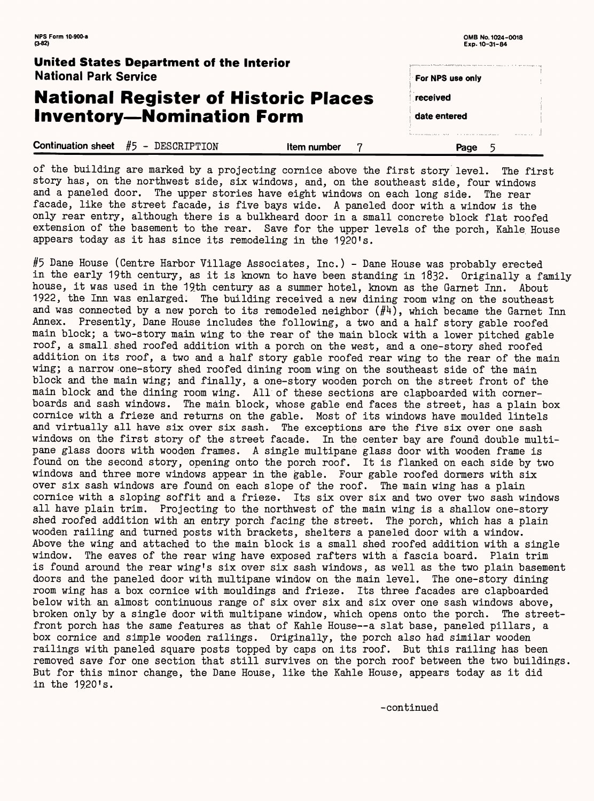| <b>United States Department of the Interior</b><br><b>National Park Service</b> |             | For NPS use only                                                                                                         | the first state and according to the con- |
|---------------------------------------------------------------------------------|-------------|--------------------------------------------------------------------------------------------------------------------------|-------------------------------------------|
| <b>National Register of Historic Places</b>                                     |             | received                                                                                                                 |                                           |
| <b>Inventory-Nomination Form</b>                                                |             | date entered                                                                                                             |                                           |
| <b>Continuation sheet</b> $#5$ - DESCRIPTION                                    | Item number | for a company company of the state of the company of the company of the company of the company of the company of<br>Page |                                           |

of the building are marked by a projecting cornice above the first story level. The first story has, on the northwest side, six windows, and, on the southeast side, four windows and a paneled door. The upper stories have eight windows on each long side. The rear facade, like the street facade, is five bays wide. A paneled door with a window is the only rear entry, although there is a bulkheard door in a small concrete block flat roofed extension of the basement to the rear. Save for the upper levels of the porch, Kahle House appears today as it has since its remodeling in the 1920's.

#5 Dane House (Centre Harbor Village Associates, Inc.) - Dane House was probably erected in the early 19th century, as it is known to have been standing in 1832. Originally a family house, it was used in the 19th century as a summer hotel, known as the Garnet Inn. About 1922, the Inn was enlarged. The building received a new dining room wing on the southeast and was connected by a new porch to its remodeled neighbor  $(\#4)$ , which became the Garnet Inn Annex. Presently, Dane House includes the following, a two and a half story gable roofed main block; a two-story main wing to the rear of the main block with a lower pitched gable roof, a small.shed roofed addition with a porch on the west, and a one-story shed roofed addition on its roof, a two and a half story gable roofed rear wing to the rear of the main wing; a narrow one-story shed roofed dining room wing on the southeast side of the main block and the main wing; and finally, a one-story wooden porch on the street front of the main block and the dining room wing. All of these sections are clapboarded with cornerboards and sash windows. The main, block, whose gable end faces the street, has a plain box cornice with a frieze and returns on the gable. Most of its windows have moulded lintels and virtually all have six over six sash. The exceptions are the five six over one sash windows on the first story of the street facade. In the center bay are found double multipane glass doors with wooden frames. A single multipane glass door with wooden frame is found on the second story, opening onto the porch roof. It is flanked on each side by two windows and three more windows appear in the gable. Four gable roofed dormers with six over six sash windows are found on each slope of the roof. The main wing has a plain cornice with a sloping soffit and a frieze. Its six over six and two over two sash windows all have plain trim. Projecting to the northwest of the main wing is a shallow one-story shed roofed addition with an entry porch facing the street. The porch, which has a plain wooden railing and turned posts with brackets, shelters a paneled door with a window. Above the wing and attached to the main block is a small shed roofed addition with a single window. The eaves of the rear wing have exposed rafters with a fascia board. Plain trim is found around the rear wing's six over six sash windows, as well as the two plain basement doors and the paneled door with multipane window on the main level. The one-story dining room wing has a box cornice with mouldings and frieze. Its three facades are clapboarded below with, an almost continuous range of six over six and six over one sash windows above, broken only by a single door with multipane window, which opens onto the porch. The streetfront porch has the same features as that of Kahle House--a slat base, paneled pillars, a box cornice and simple wooden railings. Originally, the porch also had similar wooden railings with paneled square posts topped by caps on its roof. But this railing has been removed save for one section that still survives on the porch roof between the two buildings. But for this minor change, the Dane House, like the Kahle House, appears today as it did in the 19,20's.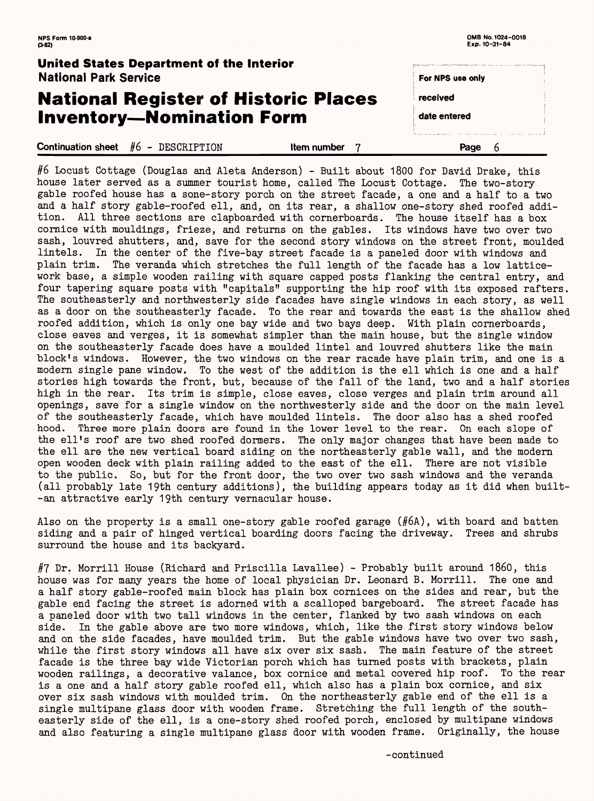**NPS Form 10-900-a OMB No. 1024-0018** 

| $(3-82)$                                                                        |                    | Exp. 10-31-84    |  |
|---------------------------------------------------------------------------------|--------------------|------------------|--|
| <b>United States Department of the Interior</b><br><b>National Park Service</b> |                    | For NPS use only |  |
| <b>National Register of Historic Places</b>                                     |                    | received         |  |
| <b>Inventory-Nomination Form</b>                                                |                    | date entered     |  |
| Continuation sheet $#6$ - DESCRIPTION                                           | <b>Item number</b> | Page             |  |

#6 Locust Cottage (Douglas and Aleta Anderson) - Built about 1800 for David Drake, this house later served as a summer tourist home, called The Locust Cottage. The two-story gable roofed house has a sone-story porch on the street facade, a one and a half to a two and a half story gable-roofed ell, and, on its rear, a shallow one-story shed roofed addition. All three sections are clapboarded with cornerboards. The house itself has a box cornice with mouldings, frieze, and returns on the gables. Its windows have two over two sash, louvred shutters, and, save for the second story windows on the street front, moulded lintels. In the center of the five-bay street facade is a paneled door with windows and plain trim. The veranda which stretches the full length of the facade has a low latticework base, a simple wooden railing with square capped posts flanking the central entry, and four tapering square posts with "capitals" supporting the hip roof with its exposed rafters. The southeasterly and northwesterly side facades have single windows in each story, as well as a door on the southeasterly facade. To the rear and towards the east is the shallow shed roofed addition, which is only one bay wide and two bays deep. With plain cornerboards, close eaves and verges, it is somewhat simpler than the main house, but the single window on the southeasterly facade does have a moulded lintel and louvred shutters like the main block's windows. However, the two windows on the rear racade have plain trim, and one is a modern single pane window. To the west of the addition is the ell which is one and a half stories high towards the front, but, because of the fall of the land, two and a half stories high in the rear. Its trim is simple, close eaves, close verges and plain trim around all openings, save for a single window on the northwesterly side and the door on the main level of the southeasterly facade, which have moulded lintels. The door also has a shed roofed hood. Three more plain doors are found in the lower level to the rear. On each slope of the ell's roof are two shed roofed dormers. The only major changes that have been made to the ell are the new vertical board siding on the northeasterly gable wall, and the modern open wooden deck with plain railing added to the east of the ell. There are not visible to the public. So, but for the front door, the two over two sash windows and the veranda (all probably late 19th century additions), the building appears today as it did when built-  $-$ an attractive early 19th century vernacular house.

#7 Dr. Morrill House (Richard and Priscilla Lavallee) - Probably built around 1860, this house was for many years the home of local physician Dr. Leonard B. Morrill. The one and

Also on the property is a small one-story gable roofed garage (#6A), with board and batten siding and a pair of hinged vertical boarding doors facing the driveway. Trees and shrubs surround the house and its backyard.

a half story gable-roofed main block has plain box cornices on the sides and rear, but the gable.end facing the street is adorned with a scalloped bargeboard. The street facade has a paneled door with two tall windows in the center, flanked by two sash windows on each side. In the gable above are two more windows, which, like the first story windows below and on the side facades, have moulded trim. But the gable windows have two over two sash, while the first story windows all have six over six sash. The main feature of the street facade is the three bay wide Victorian porch which has turned posts with brackets, plain wooden railings, a decorative valance, box cornice and metal covered hip roof. To the rear is a one and a half story gable roofed ell, which also has a plain box cornice, and six over six sash windows with moulded trim. On the northeasterly gable end of the ell is a single multipane glass door with wooden frame. Stretching the full length of the southeasterly side of the ell, is a one-story shed roofed porch, enclosed by multipane windows and also featuring a single multipane glass door with wooden frame. Originally, the house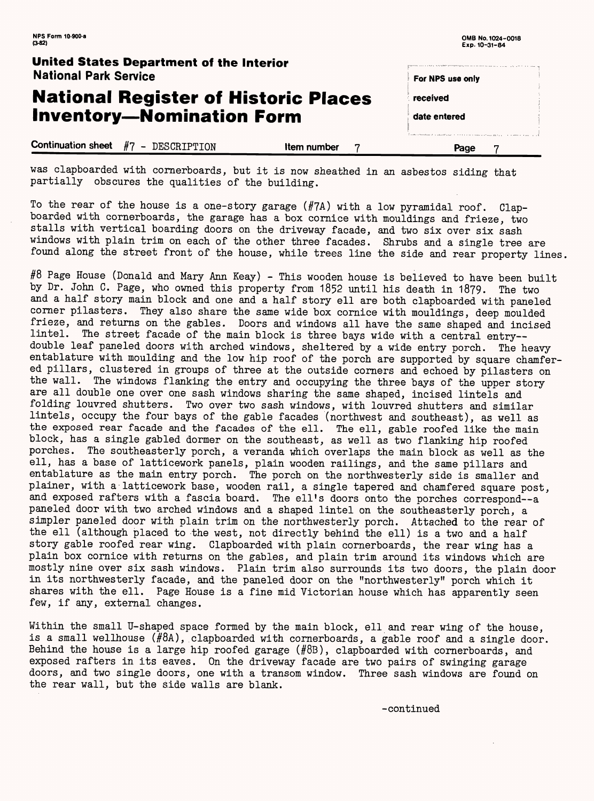#### **United States Department of the Interior** National Park Service

# **National Register of Historic Places Inventory-Nomination Form**

**Continuation sheet** #7 - DESCRIPTION **Item number** 7

| For NPS use only |  |
|------------------|--|
|                  |  |
| <b>received</b>  |  |
|                  |  |
| date entered     |  |
|                  |  |
|                  |  |
| Page             |  |

To the rear of the house is a one-story garage (#7A) with a low pyramidal roof. Clapboarded with cornerboards, the garage has a box cornice with mouldings and frieze, two stalls with vertical boarding doors on the driveway facade, and two six over six sash windows with plain trim on each of the other three facades. Shrubs and a single tree are found along the street front of the house, while trees line the side and rear property lines.

was clapboarded with cornerboards, but it is now sheathed in an asbestos siding that partially obscures the qualities of the building.

#8 Page House (Donald and Mary Ann Keay) - This wooden house is believed to have been built by Dr. John C. Page, who owned this property from 1852 until his death in 1879. The two and a half story main block and one and a half story ell are both clapboarded with paneled corner pilasters. They also share the same wide box cornice with mouldings, deep moulded frieze, and returns on the gables. Doors and windows all have the same shaped and incised lintel. The street facade of the main block is three bays wide with a central entry- double leaf paneled doors with arched windows, sheltered by a wide entry porch. The heavy entablature with moulding and the low hip roof of the porch are supported by square chamfered pillars, clustered in groups of three at the outside corners and echoed by pilasters on the wall. The windows flanking the entry and occupying the three bays of the upper story are all double one over one sash windows sharing the same shaped, incised lintels and folding louvred shutters. Two over two sash windows, with louvred shutters and similar lintels, occupy the four bays of the gable facades (northwest and southeast), as well as the exposed rear facade and the facades of the ell. The ell, gable roofed like the main block, has a single gabled dormer on the southeast, as well as two flanking hip roofed porches. The southeasterly porch, a veranda which overlaps the main block as well as the ell, has a base of latticework panels, plain wooden railings, and the same pillars and entablature as the main entry porch. The porch on the northwesterly side is smaller and plainer, with a latticework base, wooden rail, a single tapered and chamfered square post, and exposed rafters with a fascia board. The ell's doors onto the porches correspond--a paneled door with two arched windows and a shaped lintel on the southeasterly porch, a simpler paneled door with plain trim on the northwesterly porch. Attached to the rear of the ell (although placed to the west, not directly behind the ell) is a two and a half story gable roofed rear wing. Clapboarded with plain cornerboards, the rear wing has a plain box cornice with returns on the gables, and plain trim around its windows which are mostly nine over six sash windows. Plain trim also surrounds its two doors, the plain door in its northwesterly facade, and the paneled door on the "northwesterly" porch which it shares with the ell. Page House is a fine mid Victorian house which has apparently seen few, if any, external changes.

Within the small U-shaped space formed by the main block, ell and rear wing of the house, is a small wellhouse  $(HBA)$ , clapboarded with cornerboards, a gable roof and a single door. Behind the house is a large hip roofed garage (#8B), clapboarded with cornerboards, and exposed rafters in its eaves. On the driveway facade are two pairs of swinging garage doors, and two single doors, one with a transom window. Three sash windows are found on the rear wall, but the side walls are blank.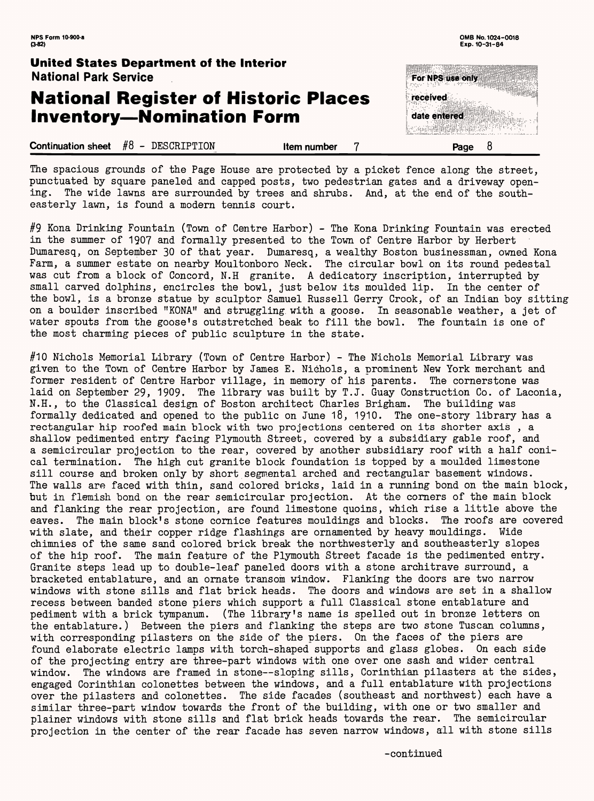**0MB No. 1024-0018 Exp. 10-31-84**

### **National Register of Historic Places Inventory-Nomination Form**



#### **United States Department of the Interior National Park Service**

| #8<br><b>Continuation sheet</b><br>DESCRIPTION<br>Item number<br>Page |
|-----------------------------------------------------------------------|
|-----------------------------------------------------------------------|

The spacious grounds of the Page House are protected by a picket fence along the street, punctuated by square paneled and capped posts, two pedestrian gates and a driveway opening. The wide lawns are surrounded by trees and shrubs. And, at the end of the southeasterly lawn, is found a modern tennis court.

#9 Kona Drinking Fountain (Town of Centre Harbor) - The Kona Drinking Fountain was erected in the summer of 190? and formally presented to the Town of Centre Harbor by Herbert Dumaresq, on September 30 of that year. Dumaresq, a wealthy Boston businessman, owned Kona Farm, a summer estate on nearby Moultonboro Neck. The circular bowl on its round pedestal was cut from a block of Concord, N.H granite. A dedicatory inscription, interrupted by small carved dolphins, encircles the bowl, just below its moulded lip. In the center of the bowl, is a bronze statue by sculptor Samuel Russell Gerry Crook, of an Indian boy sitting on a boulder inscribed "KONA" and struggling, with a goose. In seasonable weather, a jet of water spouts from the goose's outstretched beak to fill the bowl. The fountain is one of the most charming pieces of public sculpture in the state.

#10 Nichols Memorial Library (Town of Centre Harbor) - The Nichols Memorial Library was given to the Town of Centre Harbor by James E. Nichols, a prominent New York merchant and former resident of Centre Harbor village, in memory of his parents. The cornerstone was laid on September 29, 1909. The library was built by T.J. Quay Construction Co. of Laconia, N.H., to the Classical design of Boston architect Charles Brigham. The building was formally dedicated and opened to the public on June 18, 1910. The one-story library has a rectangular hip roofed main block with two projections centered on its shorter axis , a shallow pedimented entry facing Plymouth Street, covered by a subsidiary gable roof, and a semicircular projection to the rear, covered by another subsidiary roof with a half conical termination. The high cut granite block foundation is topped by a moulded limestone sill course and broken only by short segmental arched and rectangular basement windows. The walls are faced with thin, sand colored bricks, laid in a running bond on the main block, but in flemish bond on the rear semicircular projection. At the corners of the main block and flanking the rear projection, are found limestone quoins, which rise a little above the eaves. The main block's stone cornice features mouldings and blocks. The roofs are covered with slate, and their copper ridge flashings are ornamented by heavy mouldings. Wide chimnies of the same sand colored brick break the northwesterly and southeasterly slopes of the hip roof. The main feature of the Plymouth Street facade is the pedimented entry. Granite steps lead up to double-leaf paneled doors with a stone architrave surround, a bracketed entablature, and an ornate transom window. Flanking the doors are two narrow windows with stone sills and flat brick heads. The doors and windows are set in a shallow recess between banded stone piers which support a full Classical stone entablature and pediment with a brick tympanum. (The library's name is spelled out in bronze letters on the entablature.) Between the piers and flanking the steps are two stone Tuscan columns, with corresponding pilasters on the side of the piers. On the faces of the piers are found elaborate electric lamps with torch-shaped supports and glass globes. On each side of the projecting entry are three-part windows with one over one sash and wider central window. The windows are framed in stone--sloping sills, Corinthian pilasters at the sides, engaged Corinthian colonettes between the windows, and a full entablature with projections over the pilasters and colonettes. The side facades (southeast and northwest) each have a similar three-part window towards the front of the building, with one or two smaller and plainer windows with stone sills and flat brick heads towards the rear. The semicircular projection in the center of the rear facade has seven narrow windows, all with stone sills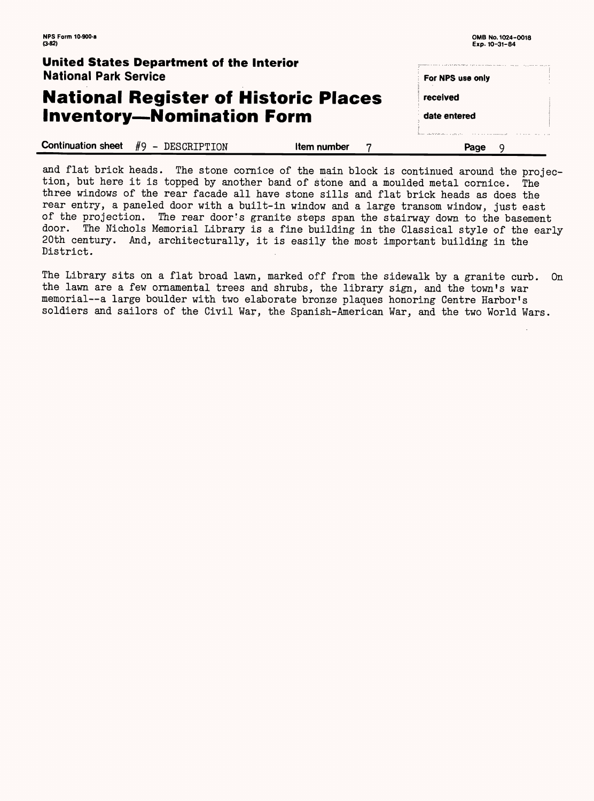| United States Department of the Interior<br><b>National Park Service</b> |             | nt transportante en la cerca de la casa y y conseguezo de la casa de la casa de la casa de la casa d<br>For NPS use only                                                                                                               |  |
|--------------------------------------------------------------------------|-------------|----------------------------------------------------------------------------------------------------------------------------------------------------------------------------------------------------------------------------------------|--|
| <b>National Register of Historic Places</b>                              | received    |                                                                                                                                                                                                                                        |  |
| <b>Inventory-Nomination Form</b>                                         |             | date entered                                                                                                                                                                                                                           |  |
| Continuation sheet $#9$ - DESCRIPTION                                    | Item number | Pressent and the Monday of the second contract of the contract and the second contract of the second second second second second second second second second second second second second second second second second second se<br>Page |  |

and flat brick heads. The stone cornice of the main block is continued around the projection, but here it is topped by another band of stone and a moulded metal cornice. The three windows of the rear facade all have stone sills and flat brick heads as does the rear entry, a paneled door with a built-in window and a large transom window, just east of the projection. The rear door's granite steps span the stairway down to the basement door. The Nichols Memorial Library is a fine building in the Classical style of the early 20th century. And, architecturally, it is easily the most important building in the District.

The Library sits on a flat broad lawn, marked off from the sidewalk by a granite curb. On the lawn are a few ornamental trees and shrubs, the library sign, and the town's war memorial--a large boulder with two elaborate bronze plaques honoring Centre Harbor's soldiers and sailors of the Civil War, the Spanish-American War, and the two World Wars.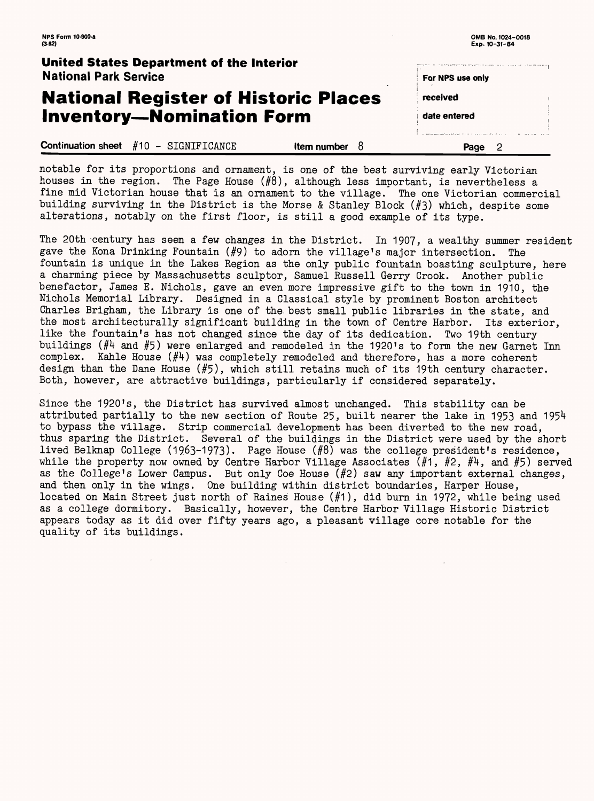For NPS use only

received

date entered

### **National Register of Historic Places Inventory-Nomination Form**

|                                                   |             | A 1990 STORY OF THE CARD OF CARD AND THE RESIDENCE OF A STATE OF A STATE OF A STATE OF A STATE OF A STATE OF A<br>the company of the company of the |
|---------------------------------------------------|-------------|-----------------------------------------------------------------------------------------------------------------------------------------------------|
| <b>Continuation sheet</b> $#10 - SIGNIFICATIONCE$ | Item number | <b>Page</b>                                                                                                                                         |

#### **United States Department of the Interior** National Park Service

notable for its proportions and ornament, is one of the best surviving early Victorian houses in the region. The Page House (#8), although less important, is nevertheless a fine mid Victorian house that is an ornament to the village. The one Victorian commercial building surviving in the District is the Morse & Stanley Block (#3) which, despite some alterations, notably on the first floor, is still a good example of its type.

The 20th century has seen a few changes in the District. In 1907, a wealthy summer resident gave the Kona Drinking Fountain (#9) to adorn the village's major intersection. The fountain is unique in the Lakes Region as the only public fountain boasting sculpture, here a charming piece by Massachusetts sculptor, Samuel Russell Gerry Crook. Another public benefactor, James E. Nichols, gave an even more impressive gift to the town in 1910, the Nichols Memorial Library. Designed in a Classical style by prominent Boston architect Charles Brigham, the Library is one of the. best small public libraries in the state, and the most architecturally significant building in the town of Centre Harbor. Its exterior, like the fountain's has not changed since the day of its dedication. Two 19th century buildings ( $#4$  and  $#5$ ) were enlarged and remodeled in the 1920's to form the new Garnet Inn complex. Kahle House  $(\#4)$  was completely remodeled and therefore, has a more coherent design than the Dane House (#5), which still retains much of its 19th century character. Both, however, are attractive buildings, particularly if considered separately.

Since the 1920's, the District has survived almost unchanged. This stability can be attributed partially to the new section of Route 25, built nearer the lake in 1953 and 1954 to bypass the village. Strip commercial development has been diverted to the new road, thus sparing the District. Several of the buildings in the District were used by the short lived Belknap College (1963-1973). Page House  $(\#8)$  was the college president's residence, while the property now owned by Centre Harbor Village Associates (#1, #2, #4, and #5) served as the College's Lower Campus. But only Coe House (#2) saw any important external changes, and then only in the wings. One building within district boundaries, Harper House, located on Main Street just north of Raines House (#1), did burn in 1972, while being used as a college dormitory. Basically, however, the Centre Harbor Village Historic District appears today as it did over fifty years ago, a pleasant village core notable for the quality of its buildings.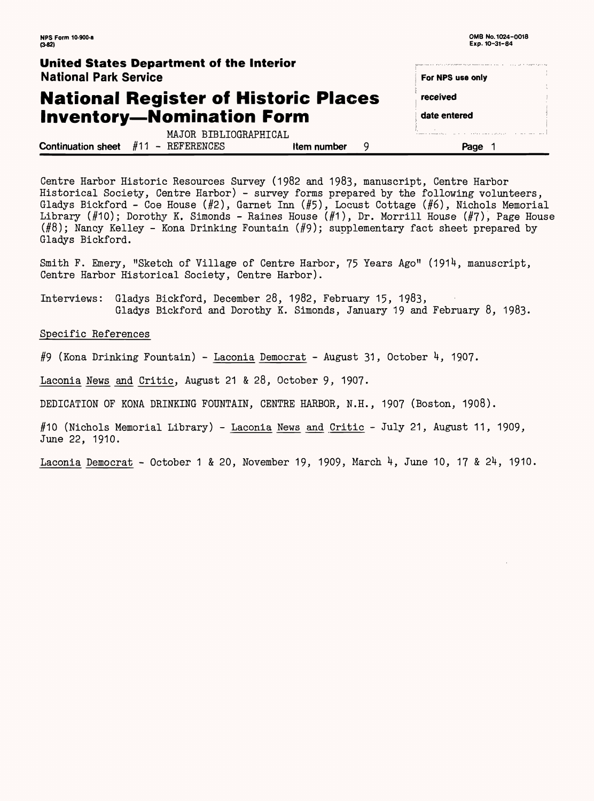Smith F. Emery, "Sketch of Village of Centre Harbor, 75 Years Ago" (1914, manuscript, Centre Harbor Historical Society, Centre Harbor).

Interviews: Gladys Bickford, December 28, 1982, February 15, 1983, Gladys Bickford and Dorothy K. Simonds, January 19 and February 8, 1983.

| <b>NPS Form 10-900-a</b><br>$(3-82)$                                                 |   | OMB No. 1024-0018<br>Exp. 10-31-84 |        |
|--------------------------------------------------------------------------------------|---|------------------------------------|--------|
| <b>United States Department of the Interior</b><br><b>National Park Service</b>      |   | For NPS use only                   | $\sim$ |
| <b>National Register of Historic Places</b>                                          |   | received                           | A.     |
| <b>Inventory-Nomination Form</b>                                                     |   | date entered                       |        |
| MAJOR BIBLIOGRAPHICAL<br><b>Continuation sheet</b> $#11$ – REFERENCES<br>Item number | 9 | Page                               |        |

Centre Harbor Historic Resources Survey (1982 and 1983, manuscript, Centre Harbor Historical Society, Centre Harbor) - survey forms prepared by the following volunteers, Gladys Bickford - Coe House  $(H2)$ , Garnet Inn  $(H5)$ , Locust Cottage  $(H6)$ , Nichols Memorial Library (#10); Dorothy K. Simonds - Raines House (#1), Dr. Morrill House (#7), Page House  $(\#8)$ ; Nancy Kelley - Kona Drinking Fountain  $(\#9)$ ; supplementary fact sheet prepared by Gladys Bickford.

Specific References

#9 (Kona Drinking Fountain) - Laconia Democrat - August 31, October H, 190?.

Laconia News and Critic, August 21 & 28, October 9, 1907.

DEDICATION OF KONA DRINKING FOUNTAIN, CENTRE HARBOR, N.H., 1907 (Boston, 1908).

(Nichols Memorial Library) - Laconia News and Critic - July 21, August 11, 1909, June 22, 1910.

Laconia Democrat - October 1 & 20, November 19, 1909, March 4, June 10, 17 & 24, 1910.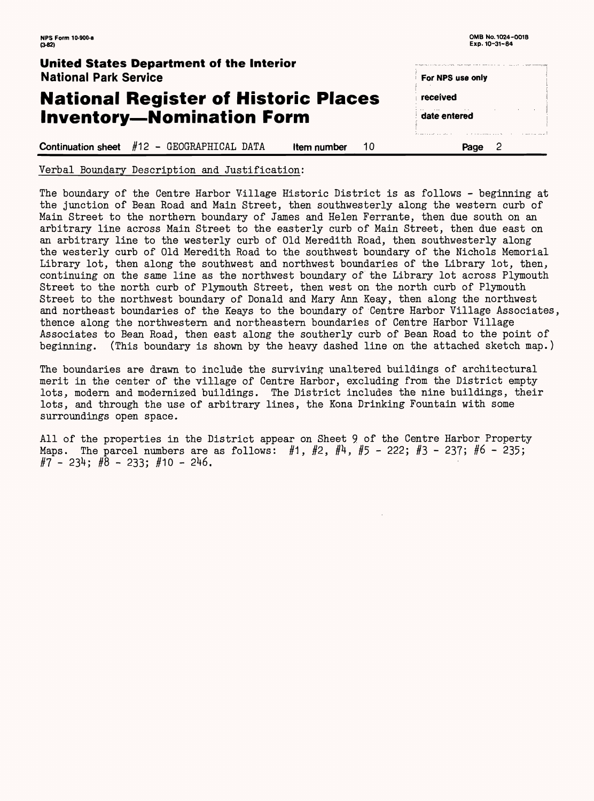**NFS Form 10-900-a 0MB No. 1024-0018**

**Exp. 10-31-84**  $(3-82)$ **United States Department of the Interior** National Park Service For NPS use only **National Register of Historic Places**  received **Inventory—Nomination Form** date entered **Continuation sheet** #12 - GEOGRAPHICAL DATA **Item number** 10 **Page 2** 

Verbal Boundary Description and Justification:

The boundary of the Centre Harbor Village Historic District is as follows - beginning at the junction of Bean Road and Main Street, then southwesterly along the western curb of Main Street to the northern boundary of James and Helen Ferrante, then due south on an arbitrary line across Main Street to the easterly curb of Main Street, then due east on an arbitrary line to the westerly curb of Old Meredith Road, then southwesterly along the westerly curb of Old Meredith Road to the southwest boundary of the Nichols Memorial Library lot, then along the southwest and northwest boundaries of the Library lot, then, continuing on the same line as the northwest boundary of the Library lot across Plymouth Street to the north curb of Plymouth Street, then west on the north curb of Plymouth Street to the northwest boundary of Donald and Mary Ann Keay, then along the northwest and northeast boundaries of the Keays to the boundary of Centre Harbor Village Associates, thence along the northwestern and northeastern boundaries of Centre Harbor Village Associates to Bean Road, then east along the southerly curb of Bean Road to the point of beginning. (This boundary is shown by the heavy dashed line on the attached sketch map.)

All of the properties in the District appear on Sheet 9 of the Centre Harbor Property Maps. The parcel numbers are as follows: #1, #2, #4, #5 - 222; #3 - 237; #6 - 235; *§7 -* 23^; *#8* - 233; #10 -

The boundaries are drawn to include the surviving unaltered buildings of architectural merit in the center of the village of Centre Harbor, excluding from the District empty lots, modern and modernized buildings. The District includes the nine buildings, their lots, and through the use of arbitrary lines, the Kona Drinking Fountain with some surroundings open space.